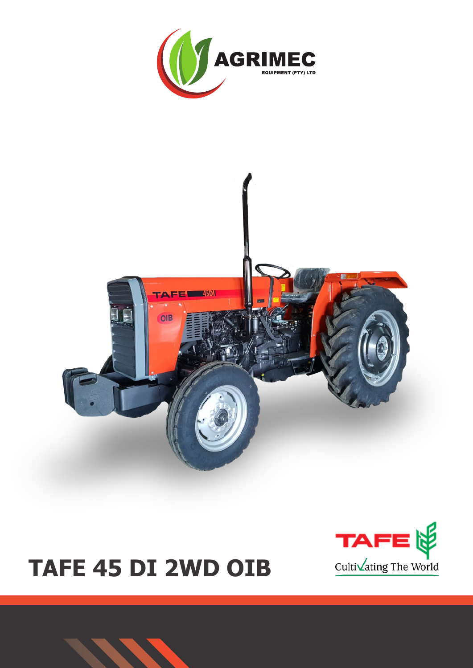





# **TAFE 45 DI 2WD OIB**